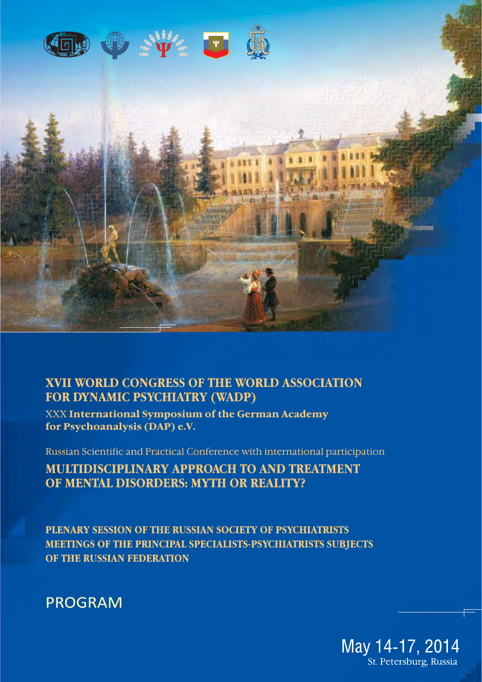

# **XVII WORLD CONGRESS OF THE WORLD ASSOCIATION FOR DYNAMIC PSYCHIATRY (WADP)**

XXX International Symposium of the German Academy for Psychoanalysis (DAP) e.V.

Russian Scientific and Practical Conference with international participation

**MULTIDISCIPLINARY APPROACH TO AND TREATMENT** OF MENTAL DISORDERS: MYTH OR REALITY?

PLENARY SESSION OF THE RUSSIAN SOCIETY OF PSYCHIATRISTS MEETINGS OF THE PRINCIPAL SPECIALISTS-PSYCHIATRISTS SUBJECTS OF THE RUSSIAN FEDERATION



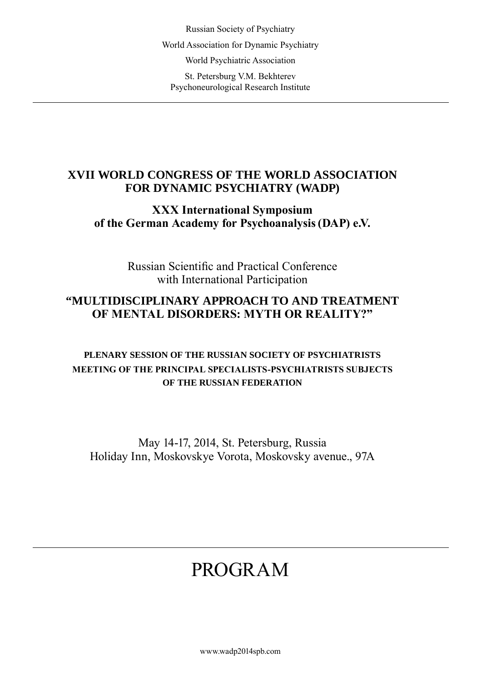Russian Society of Psychiatry World Association for Dynamic Psychiatry World Psychiatric Association St. Petersburg V.M. Bekhterev Psychoneurological Research Institute

# **XVII WORLD CONGRESS OF THE WORLD ASSOCIATION FOR DYNAMIC PSYCHIATRY (WADP)**

# **ХХХ International Symposium of the German Academy for Psychoanalysis(DAP) e.V.**

Russian Scientific and Practical Conference with International Participation

# **"MULTIDISCIPLINARY APPROACH TO AND TREATMENT OF MENTAL DISORDERS: MYTH OR REALITY?"**

# **Plenary Session Of The Russian Society Of Psychiatrists Meeting Of The Principal Specialists-Psychiatrists Subjects Of The Russian Federation**

May 14-17, 2014, St. Petersburg, Russia Holiday Inn, Moskovskye Vorota, Moskovsky avenue., 97A

# PROGRAM

www.wadp2014spb.com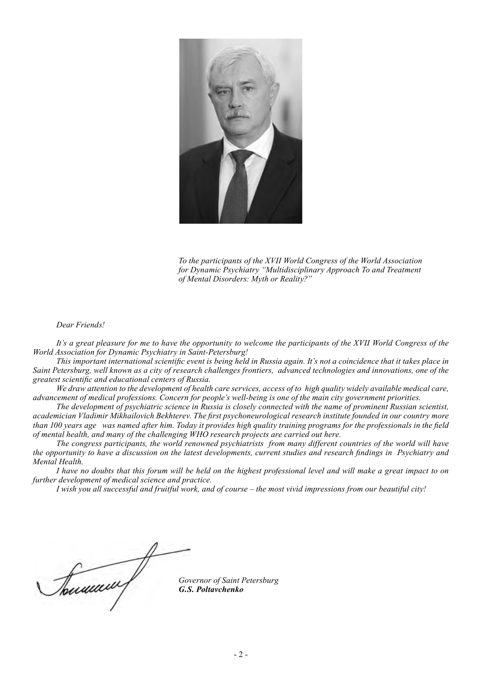

*To the participants of the XVII World Congress of the World Association for Dynamic Psychiatry "Multidisciplinary Approach To and Treatment of Mental Disorders: Myth or Reality?"* 

#### *Dear Friends!*

It's a great pleasure for me to have the opportunity to welcome the participants of the XVII World Congress of the *World Association for Dynamic Psychiatry in Saint-Petersburg!*

*This important international scientific event is being held in Russia again. It's not a coincidence that it takes place in Saint Petersburg, well known as a city of research challenges frontiers, advanced technologies and innovations, one of the greatest scientific and educational centers of Russia.*

*We draw attention to the development of health care services, access of to high quality widely available medical care, advancement of medical professions. Concern for people's well-being is one of the main city government priorities.* 

*The development of psychiatric science in Russia is closely connected with the name of prominent Russian scientist, academician Vladimir Mikhailovich Bekhterev. The first psychoneurological research institute founded in our country more than 100 years age was named after him. Today it provides high quality training programs for the professionals in the field of mental health, and many of the challenging WHO research projects are carried out here.*

*The congress participants, the world renowned psychiatrists from many different countries of the world will have the opportunity to have a discussion on the latest developments, current studies and research findings in Psychiatry and Mental Health.* 

*I have no doubts that this forum will be held on the highest professional level and will make a great impact to on further development of medical science and practice.* 

*I wish you all successful and fruitful work, and of course – the most vivid impressions from our beautiful city!*

Tourne

*Governor of Saint Petersburg G.S. Poltavchenko*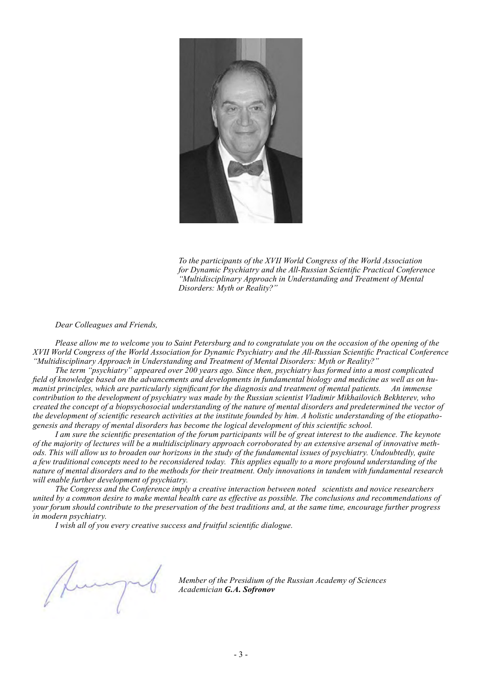

*To the participants of the XVII World Congress of the World Association for Dynamic Psychiatry and the All-Russian Scientific Practical Conference "Multidisciplinary Approach in Understanding and Treatment of Mental Disorders: Myth or Reality?"* 

*Dear Colleagues and Friends,*

*Please allow me to welcome you to Saint Petersburg and to congratulate you on the occasion of the opening of the XVII World Congress of the World Association for Dynamic Psychiatry and the All-Russian Scientific Practical Conference "Multidisciplinary Approach in Understanding and Treatment of Mental Disorders: Myth or Reality?"* 

*The term "psychiatry" appeared over 200 years ago. Since then, psychiatry has formed into a most complicated field of knowledge based on the advancements and developments in fundamental biology and medicine as well as on humanist principles, which are particularly significant for the diagnosis and treatment of mental patients. An immense contribution to the development of psychiatry was made by the Russian scientist Vladimir Mikhailovich Bekhterev, who created the concept of a biopsychosocial understanding of the nature of mental disorders and predetermined the vector of the development of scientific research activities at the institute founded by him. A holistic understanding of the etiopathogenesis and therapy of mental disorders has become the logical development of this scientific school.* 

*I am sure the scientific presentation of the forum participants will be of great interest to the audience. The keynote of the majority of lectures will be a multidisciplinary approach corroborated by an extensive arsenal of innovative methods. This will allow us to broaden our horizons in the study of the fundamental issues of psychiatry. Undoubtedly, quite a few traditional concepts need to be reconsidered today. This applies equally to a more profound understanding of the nature of mental disorders and to the methods for their treatment. Only innovations in tandem with fundamental research will enable further development of psychiatry.* 

*The Congress and the Conference imply a creative interaction between noted scientists and novice researchers united by a common desire to make mental health care as effective as possible. The conclusions and recommendations of your forum should contribute to the preservation of the best traditions and, at the same time, encourage further progress in modern psychiatry.* 

*I wish all of you every creative success and fruitful scientific dialogue.*

*Member of the Presidium of the Russian Academy of Sciences Academician G.A. Sofronov*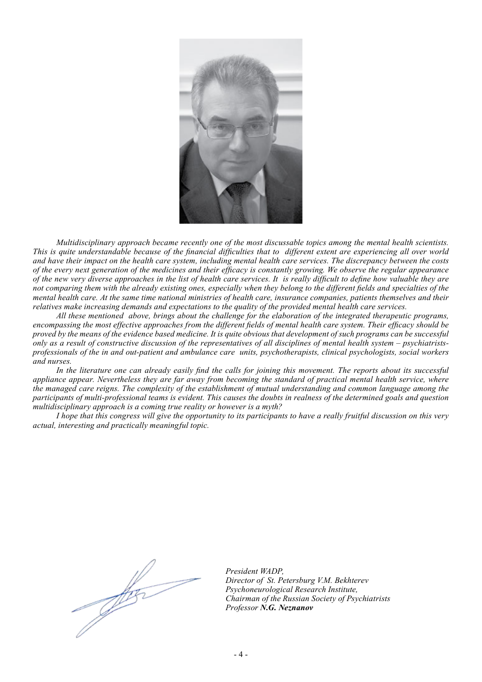

*Multidisciplinary approach became recently one of the most discussable topics among the mental health scientists. This is quite understandable because of the financial difficulties that to different extent are experiencing all over world and have their impact on the health care system, including mental health care services. The discrepancy between the costs of the every next generation of the medicines and their efficacy is constantly growing. We observe the regular appearance of the new very diverse approaches in the list of health care services. It is really difficult to define how valuable they are not comparing them with the already existing ones, especially when they belong to the different fields and specialties of the mental health care. At the same time national ministries of health care, insurance companies, patients themselves and their relatives make increasing demands and expectations to the quality of the provided mental health care services.*

*All these mentioned above, brings about the challenge for the elaboration of the integrated therapeutic programs, encompassing the most effective approaches from the different fields of mental health care system. Their efficacy should be proved by the means of the evidence based medicine. It is quite obvious that development of such programs can be successful only as a result of constructive discussion of the representatives of all disciplines of mental health system – psychiatristsprofessionals of the in and out-patient and ambulance care units, psychotherapists, clinical psychologists, social workers and nurses.*

In the literature one can already easily find the calls for joining this movement. The reports about its successful *appliance appear. Nevertheless they are far away from becoming the standard of practical mental health service, where the managed care reigns. The complexity of the establishment of mutual understanding and common language among the participants of multi-professional teams is evident. This causes the doubts in realness of the determined goals and question multidisciplinary approach is a coming true reality or however is a myth?*

*I hope that this congress will give the opportunity to its participants to have a really fruitful discussion on this very actual, interesting and practically meaningful topic.*

*Jes* 

*President WADP, Director of St. Petersburg V.M. Bekhterev Psychoneurological Research Institute, Chairman of the Russian Society of Psychiatrists Professor N.G. Neznanov*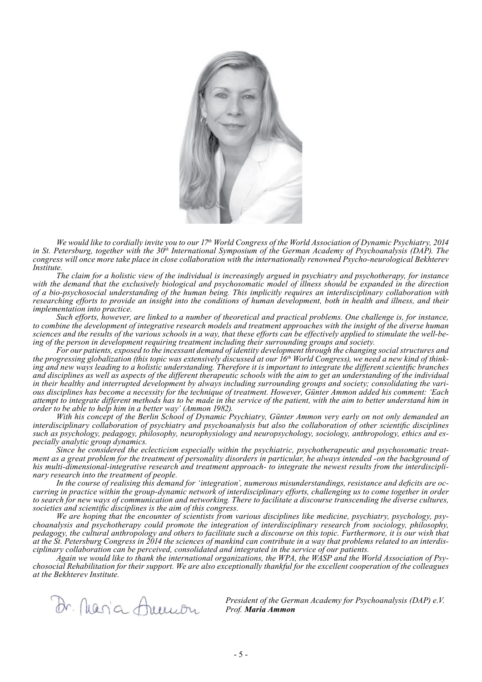

*We would like to cordially invite you to our 17th World Congress of the World Association of Dynamic Psychiatry, 2014*  in St. Petersburg, together with the 30<sup>th</sup> International Symposium of the German Academy of Psychoanalysis (DAP). The *congress will once more take place in close collaboration with the internationally renowned Psycho-neurological Bekhterev Institute.*

*The claim for a holistic view of the individual is increasingly argued in psychiatry and psychotherapy, for instance with the demand that the exclusively biological and psychosomatic model of illness should be expanded in the direction of a bio-psychosocial understanding of the human being. This implicitly requires an interdisciplinary collaboration with researching efforts to provide an insight into the conditions of human development, both in health and illness, and their implementation into practice.*

*Such efforts, however, are linked to a number of theoretical and practical problems. One challenge is, for instance, to combine the development of integrative research models and treatment approaches with the insight of the diverse human sciences and the results of the various schools in a way, that these efforts can be effectively applied to stimulate the well-being of the person in development requiring treatment including their surrounding groups and society.*

*For our patients, exposed to the incessant demand of identity development through the changing social structures and the progressing globalization (this topic was extensively discussed at our 16th World Congress), we need a new kind of thinking and new ways leading to a holistic understanding. Therefore it is important to integrate the different scientific branches and disciplines as well as aspects of the different therapeutic schools with the aim to get an understanding of the individual in their healthy and interrupted development by always including surrounding groups and society; consolidating the various disciplines has become a necessity for the technique of treatment. However, Günter Ammon added his comment: 'Each attempt to integrate different methods has to be made in the service of the patient, with the aim to better understand him in order to be able to help him in a better way' (Ammon 1982).*

*With his concept of the Berlin School of Dynamic Psychiatry, Günter Ammon very early on not only demanded an interdisciplinary collaboration of psychiatry and psychoanalysis but also the collaboration of other scientific disciplines such as psychology, pedagogy, philosophy, neurophysiology and neuropsychology, sociology, anthropology, ethics and especially analytic group dynamics.*

*Since he considered the eclecticism especially within the psychiatric, psychotherapeutic and psychosomatic treatment as a great problem for the treatment of personality disorders in particular, he always intended -on the background of his multi-dimensional-integrative research and treatment approach- to integrate the newest results from the interdisciplinary research into the treatment of people.*

*In the course of realising this demand for 'integration', numerous misunderstandings, resistance and deficits are occurring in practice within the group-dynamic network of interdisciplinary efforts, challenging us to come together in order to search for new ways of communication and networking. There to facilitate a discourse transcending the diverse cultures, societies and scientific disciplines is the aim of this congress.*

*We are hoping that the encounter of scientists from various disciplines like medicine, psychiatry, psychology, psychoanalysis and psychotherapy could promote the integration of interdisciplinary research from sociology, philosophy, pedagogy, the cultural anthropology and others to facilitate such a discourse on this topic. Furthermore, it is our wish that at the St. Petersburg Congress in 2014 the sciences of mankind can contribute in a way that problems related to an interdisciplinary collaboration can be perceived, consolidated and integrated in the service of our patients.* 

*Again we would like to thank the international organizations, the WPA, the WASP and the World Association of Psychosocial Rehabilitation for their support. We are also exceptionally thankful for the excellent cooperation of the colleagues at the Bekhterev Institute.*

Dr. Maria Ammon

*President of the German Academy for Psychoanalysis (DAP) e.V. Prof. Maria Ammon*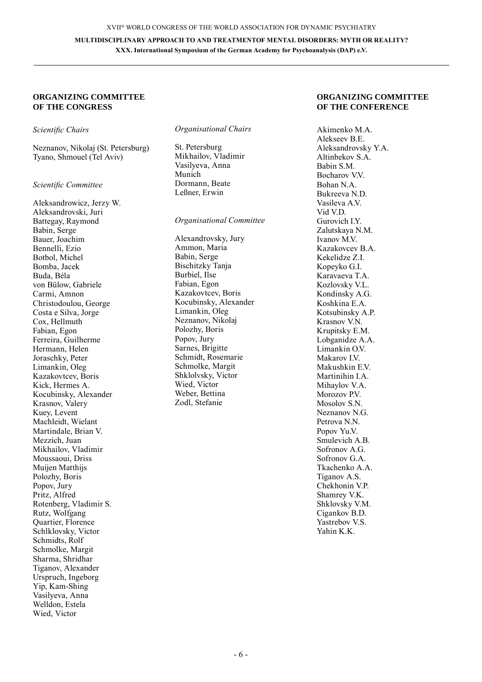#### **Organizing Committee of the Congress**

#### *Scientific Chairs*

Neznanov, Nikolaj (St. Petersburg) Tyano, Shmouel (Tel Aviv)

#### *Scientific Committee*

Aleksandrowicz, Jerzy W. Aleksandrovski, Juri Battegay, Raymond Babin, Serge Bauer, Joachim Bennelli, Ezio Botbol, Michel Bomba, Jacek Buda, Béla von Bülow, Gabriele Carmi, Amnon Christodoulou, George Costa e Silva, Jorge Cox, Hellmuth Fabian, Egon Ferreira, Guilherme Hermann, Helen Joraschky, Peter Limankin, Oleg Kazakovtcev, Boris Kick, Hermes A. Kocubinsky, Alexander Krasnov, Valery Kuey, Levent Machleidt, Wielant Martindale, Brian V. Mezzich, Juan Mikhailov, Vladimir Moussaoui, Driss Muijen Matthijs Polozhy, Boris Popov, Jury Pritz, Alfred Rotenberg, Vladimir S. Rutz, Wolfgang Quartier, Florence Schlklovsky, Victor Schmidts, Rolf Schmolke, Margit Sharma, Shridhar Tiganov, Alexander Urspruch, Ingeborg Yip, Kam-Shing Vasilyeva, Anna Welldon, Estela Wied, Victor

#### *Organisational Chairs*

St. Petersburg Mikhailov, Vladimir Vasilyeva, Anna Munich Dormann, Beate Leßner, Erwin

*Organisational Committee*

Alexandrovsky, Jury Ammon, Maria Babin, Serge Bischitzky Tanja Burbiel, Ilse Fabian, Egon Kazakovtcev, Boris Kocubinsky, Alexander Limankin, Oleg Neznanov, Nikolaj Polozhy, Boris Popov, Jury Sarnes, Brigitte Schmidt, Rosemarie Schmolke, Margit Shklolvsky, Victor Wied, Victor Weber, Bettina Zodl, Stefanie

#### **Organi zing Committee of the Conference**

Akimenko M.A. Alekseev B.E. Аleksandrovsky Y.A. Altinbekov S.A. Babin S.M. Bocharov V.V. Bohan N.A. Bukreeva N.D. Vasileva A<sub>V</sub> Vid V.D. Gurovich I.Y. Zalutskaya N.M. Ivanov M<sub>V</sub> Kazakovcev B.A. Kekelidze Z.I. Kopeyko G.I. Karavaeva T.A. Kozlovsky V.L. Kondinsky A.G. Koshkina E.A. Kotsubinsky A.P. Krasnov V.N. Krupitsky E.M. Lobganidze A.A. Limankin  $\overline{O}V$ Makarov I.V. Makushkin E.V. Martinihin I.A. Mihaylov V.A. Morozov P.V. Mosolov S.N. Neznanov N.G. Petrova N.N. Popov Yu.V. Smulevich A.B. Sofronov A.G. Sofronov G.A. Tkachenko A.A. Tiganov A.S. Chekhonin V.P. Shamrey V.K. Shklovsky V.M. Cigankov B.D. Yastrebov V.S. Yahin K.K.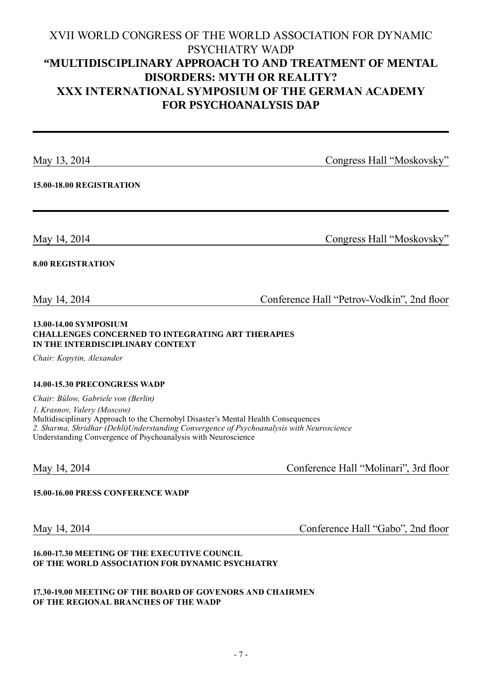# XVII WORLD CONGRESS OF THE WORLD ASSOCIATION FOR DYNAMIC PSYCHIATRY WADP **"MULTIDISCIPLINARY APPROACH TO AND TREATMENT OF MENTAL DISORDERS: MYTH OR REALITY? ХХХ International Symposium of the German Academy for Psychoanalysis DAP**

May 13, 2014 Congress Hall "Moskovsky"

**15.00-18.00 Registration**

May 14, 2014 Congress Hall "Moskovsky"

# **8.00 Registration**

May 14, 2014 Conference Hall "Petrov-Vodkin", 2nd floor

#### **13.00-14.00 Symposium Challenges Concerned to Integrating Art Therapies in the Interdisciplinary Context**

*Chair: Kopytin, Alexander*

### **14.00-15.30 Precongress WADP**

*Chair: Bülow, Gabriele von (Berlin) 1. Krasnov, Valery (Moscow)* Multidisciplinary Approach to the Chernobyl Disaster's Mental Health Consequences *2. Sharma, Shridhar (Dehli)Understanding Convergence of Psychoanalysis with Neuroscience* Understanding Convergence of Psychoanalysis with Neuroscience

May 14, 2014 Conference Hall "Molinari", 3rd floor

### **15.00-16.00 Press Conference WADP**

May 14, 2014 Conference Hall "Gabo", 2nd floor

### **16.00-17.30 Meeting of the Executive Council of the World Association for Dynamic Psychiatry**

#### **17.30-19.00 Meeting of the Board of Govenors and Chairmen of the regional branches of the WADP**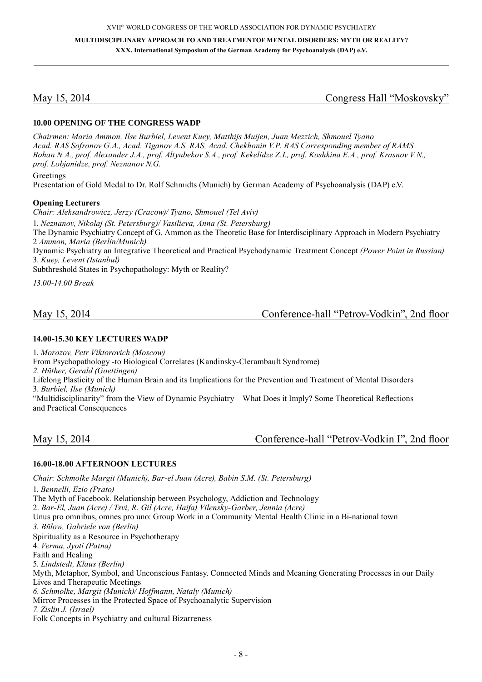May 15, 2014 Congress Hall "Moskovsky"

### **10.00 Opening of the Congress WADP**

*Chairmen: Maria Ammon, Ilse Burbiel, Levent Kuey, Matthijs Muijen, Juan Mezzich, Shmouel Tyano Acad. RAS Sofronov G.A., Acad. Tiganov A.S. RAS, Acad. Chekhonin V.P. RAS Corresponding member of RAMS Bohan N.A., prof. Alexander J.A., prof. Altynbekov S.A., prof. Kekelidze Z.I., prof. Koshkina E.A., prof. Krasnov V.N., prof. Lobjanidze, prof. Neznanov N.G.*

Greetings

Presentation of Gold Medal to Dr. Rolf Schmidts (Munich) by German Academy of Psychoanalysis (DAP) e.V.

#### **Opening Lecturers**

*Chair: Aleksandrowicz, Jerzy (Cracow)/ Tyano, Shmouel (Tel Aviv)*

1. *Neznanov, Nikolaj (St. Petersburg)/ Vasilieva, Anna (St. Petersburg)*

The Dynamic Psychiatry Concept of G. Ammon as the Theoretic Base for Interdisciplinary Approach in Modern Psychiatry 2 *Ammon, Maria (Berlin/Munich)*

Dynamic Psychiatry an Integrative Theoretical and Practical Psychodynamic Treatment Concept *(Power Point in Russian)* 3. *Kuey, Levent (Istanbul)*

Subthreshold States in Psychopathology: Myth or Reality?

*13.00-14.00 Break*

# May 15, 2014 Conference-hall "Petrov-Vodkin", 2nd floor

#### **14.00-15.30 Key Lectures WADP**

1. *Morozov, Petr Viktorovich (Moscow)* From Psychopathology -to Biological Correlates (Kandinsky-Clerambault Syndrome)

*2. Hüther, Gerald (Goettingen)*

Lifelong Plasticity of the Human Brain and its Implications for the Prevention and Treatment of Mental Disorders

3. *Burbiel, Ilse (Munich)*

"Multidisciplinarity" from the View of Dynamic Psychiatry – What Does it Imply? Some Theoretical Reflections and Practical Consequences

# May 15, 2014 Conference-hall "Petrov-Vodkin I", 2nd floor

#### **16.00-18.00 Afternoon Lectures**

*Chair: Schmolke Margit (Munich), Bar-el Juan (Acre), Babin S.M. (St. Petersburg)*

1. *Bennelli, Ezio (Prato)* The Myth of Facebook. Relationship between Psychology, Addiction and Technology 2. *Bar-El, Juan (Acre) / Tsvi, R. Gil (Acre, Haifa) Vilensky-Garber, Jennia (Acre)* Unus pro omnibus, omnes pro uno: Group Work in a Community Mental Health Clinic in a Bi-national town *3. Bülow, Gabriele von (Berlin)*  Spirituality as a Resource in Psychotherapy 4. *Verma, Jyoti (Patna)* Faith and Healing 5. *Lindstedt, Klaus (Berlin)* Myth, Metaphor, Symbol, and Unconscious Fantasy. Connected Minds and Meaning Generating Processes in our Daily Lives and Therapeutic Meetings *6. Schmolke, Margit (Munich)/ Hoffmann, Nataly (Munich)* Mirror Processes in the Protected Space of Psychoanalytic Supervision *7. Zislin J. (Israel)*  Folk Concepts in Psychiatry and cultural Bizarreness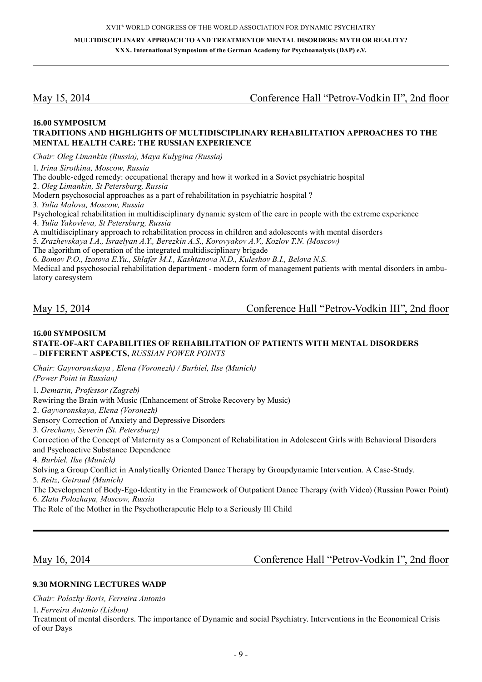May 15, 2014 Conference Hall "Petrov-Vodkin II", 2nd floor

#### **16.00 Symposium Traditions and Highlights of Multidisciplinary Rehabilitation Approaches to the Mental Health Care: the Russian Experience**

*Chair: Oleg Limankin (Russia), Maya Kulygina (Russia)*

1. *Irina Sirotkina, Moscow, Russia*

The double-edged remedy: occupational therapy and how it worked in a Soviet psychiatric hospital

2. *Oleg Limankin, St Petersburg, Russia*

Modern psychosocial approaches as a part of rehabilitation in psychiatric hospital ?

3. *Yulia Malova, Moscow, Russia*

Psychological rehabilitation in multidisciplinary dynamic system of the care in people with the extreme experience 4. *Yulia Yakovleva, St Petersburg, Russia*

A multidisciplinary approach to rehabilitation process in children and adolescents with mental disorders

5. *Zrazhevskaya I.A., Israelyan A.Y., Berezkin A.S., Korovyakov A.V., Kozlov T.N. (Moscow)*

The algorithm of operation of the integrated multidisciplinary brigade

6. *Bomov P.O., Izotova E.Yu., Shlafer M.I., Kashtanova N.D., Kuleshov B.I., Belova N.S.*

Medical and psychosocial rehabilitation department - modern form of management patients with mental disorders in ambulatory caresystem

May 15, 2014 Conference Hall "Petrov-Vodkin III", 2nd floor

#### **16.00 Symposium State -of-art Capabilities of Rehabilitation of Patients with Mental Disorders – Different Aspects,** *Russian Power Points*

*Chair: Gayvoronskaya , Elena (Voronezh) / Burbiel, Ilse (Munich)* 

*(Power Point in Russian)*

1. *Demarin, Professor (Zagreb)*

Rewiring the Brain with Music (Enhancement of Stroke Recovery by Music)

2. *Gayvoronskaya, Elena (Voronezh)*

Sensory Correction of Anxiety and Depressive Disorders

3. *Grechany, Severin (St. Petersburg)*

Correction of the Concept of Maternity as a Component of Rehabilitation in Adolescent Girls with Behavioral Disorders and Psychoactive Substance Dependence

4. *Burbiel, Ilse (Munich)*

Solving a Group Conflict in Analytically Oriented Dance Therapy by Groupdynamic Intervention. A Case-Study. 5. *Reitz, Getraud (Munich)*

The Development of Body-Ego-Identity in the Framework of Outpatient Dance Therapy (with Video) (Russian Power Point) 6. *Zlata Polozhaya, Moscow, Russia*

The Role of the Mother in the Psychotherapeutic Help to a Seriously Ill Child

May 16, 2014 **Conference Hall "Petrov-Vodkin I"**, 2nd floor

#### **9.30 Morning Lectures WADP**

*Chair: Polozhy Boris, Ferreira Antonio*

1. *Ferreira Antonio (Lisbon)*

Treatment of mental disorders. The importance of Dynamic and social Psychiatry. Interventions in the Economical Crisis of our Days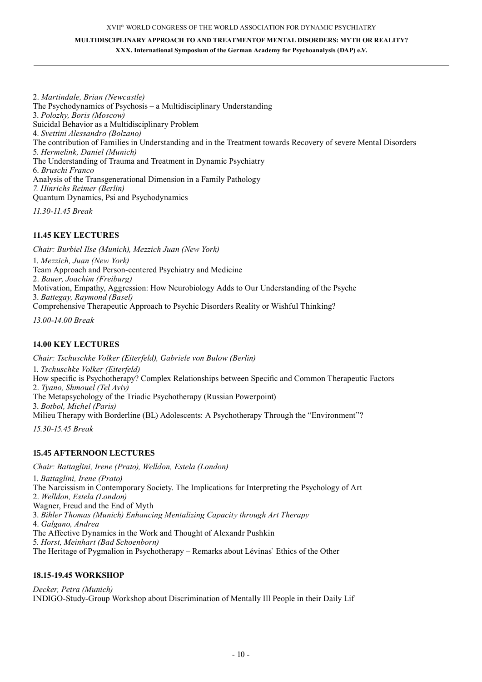#### XVII<sup>th</sup> WORLD CONGRESS OF THE WORLD ASSOCIATION FOR DYNAMIC PSYCHIATRY

**MULTIDISCIPLINARY APPROACH TO AND TREATMENTOF MENTAL DISORDERS: MYTH OR REALITY? XXX. International Symposium of the German Academy for Psychoanalysis (DAP) e.V.**

2. *Martindale, Brian (Newcastle)* The Psychodynamics of Psychosis – a Multidisciplinary Understanding 3. *Polozhy, Boris (Moscow)* Suicidal Behavior as a Multidisciplinary Problem 4. *Svettini Alessandro (Bolzano)* The contribution of Families in Understanding and in the Treatment towards Recovery of severe Mental Disorders 5. *Hermelink, Daniel (Munich)* The Understanding of Trauma and Treatment in Dynamic Psychiatry 6. *Bruschi Franco* Analysis of the Transgenerational Dimension in a Family Pathology *7. Hinrichs Reimer (Berlin)*  Quantum Dynamics, Psi and Psychodynamics *11.30-11.45 Break*

#### **11.45 Key Lectures**

*Chair: Burbiel Ilse (Munich), Mezzich Juan (New York)* 1. *Mezzich, Juan (New York)* Team Approach and Person-centered Psychiatry and Medicine 2. *Bauer, Joachim (Freiburg)* Motivation, Empathy, Aggression: How Neurobiology Adds to Our Understanding of the Psyche 3. *Battegay, Raymond (Basel)* Comprehensive Therapeutic Approach to Psychic Disorders Reality or Wishful Thinking?

*13.00-14.00 Break*

#### **14.00 Key Lectures**

*Chair: Tschuschke Volker (Eiterfeld), Gabriele von Bulow (Berlin)* 1. *Tschuschke Volker (Eiterfeld)* How specific is Psychotherapy? Complex Relationships between Specific and Common Therapeutic Factors 2. *Tyano, Shmouel (Tel Aviv)* The Metapsychology of the Triadic Psychotherapy (Russian Powerpoint) 3. *Botbol, Michel (Paris)* Milieu Therapy with Borderline (BL) Adolescents: A Psychotherapy Through the "Environment"?

*15.30-15.45 Break*

#### **15.45 Afternoon Lectures**

*Chair: Battaglini, Irene (Prato), Welldon, Estela (London)* 

1. *Battaglini, Irene (Prato)* The Narcissism in Contemporary Society. The Implications for Interpreting the Psychology of Art 2. *Welldon, Estela (London)* Wagner, Freud and the End of Myth 3. *Bihler Thomas (Munich) Enhancing Mentalizing Capacity through Art Therapy* 4. *Galgano, Andrea* The Affective Dynamics in the Work and Thought of Alexandr Pushkin 5. *Horst, Meinhart (Bad Schoenborn)* The Heritage of Pygmalion in Psychotherapy – Remarks about Lévinas` Ethics of the Other

#### **18.15-19.45 Workshop**

*Decker, Petra (Munich)* INDIGO-Study-Group Workshop about Discrimination of Mentally Ill People in their Daily Lif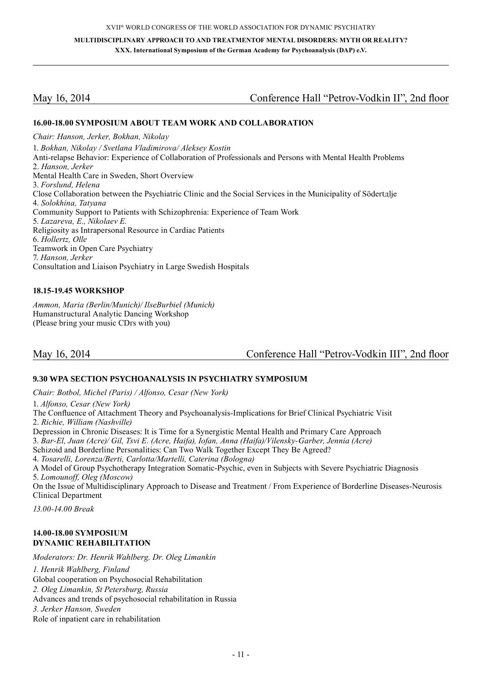# May 16, 2014 Conference Hall "Petrov-Vodkin II", 2nd floor

#### **16.00-18.00 Symposium about Team Work and Collaboration**

*Chair: Hanson, Jerker, Bokhan, Nikolay* 1. *Bokhan, Nikolay / Svetlana Vladimirova/ Aleksey Kostin* Anti-relapse Behavior: Experience of Collaboration of Professionals and Persons with Mental Health Problems 2. *Hanson, Jerker* Mental Health Care in Sweden, Short Overview 3. *Forslund, Helena* Close Collaboration between the Psychiatric Clinic and the Social Services in the Municipality of Södertдlje 4. *Solokhina, Tatyana* Community Support to Patients with Schizophrenia: Experience of Team Work 5. *Lazareva, E., Nikolaev E.* Religiosity as Intrapersonal Resource in Cardiac Patients 6. *Hollertz, Olle*  Teamwork in Open Care Psychiatry 7. *Hanson, Jerker* Consultation and Liaison Psychiatry in Large Swedish Hospitals

#### **18.15-19.45 Workshop**

*Ammon, Maria (Berlin/Munich)/ IlseBurbiel (Munich)* Humanstructural Analytic Dancing Workshop (Please bring your music CDґs with you)

May 16, 2014 Conference Hall "Petrov-Vodkin III", 2nd floor

#### **9.30 WPA Section Psychoanalysis in Psychiatry Symposium**

*Chair: Botbol, Michel (Paris) / Alfonso, Cesar (New York)*

1. *Alfonso, Cesar (New York)* The Confluence of Attachment Theory and Psychoanalysis-Implications for Brief Clinical Psychiatric Visit 2. *Richie, William (Nashville)* Depression in Chronic Diseases: It is Time for a Synergistic Mental Health and Primary Care Approach 3. *Bar-El, Juan (Acre)/ Gil, Tsvi E. (Acre, Haifa), Iofan, Anna (Haifa)/Vilensky-Garber, Jennia (Acre)* Schizoid and Borderline Personalities: Can Two Walk Together Except They Be Agreed? 4. *Tosarelli, Lorenza/Berti, Carlotta/Martelli, Caterina (Bologna)* A Model of Group Psychotherapy Integration Somatic-Psychic, even in Subjects with Severe Psychiatric Diagnosis 5. *Lomounoff, Oleg (Moscow)* On the Issue of Multidisciplinary Approach to Disease and Treatment / From Experience of Borderline Diseases-Neurosis Clinical Department *13.00-14.00 Break*

### **14.00-18.00 Symposium DYNAMIC REHABILITATION**

*Moderators: Dr. Henrik Wahlberg, Dr. Oleg Limankin*

*1. Henrik Wahlberg, Finland*

Global cooperation on Psychosocial Rehabilitation

- *2. Oleg Limankin, St Petersburg, Russia*
- Advances and trends of psychosocial rehabilitation in Russia

*3. Jerker Hanson, Sweden*

Role of inpatient care in rehabilitation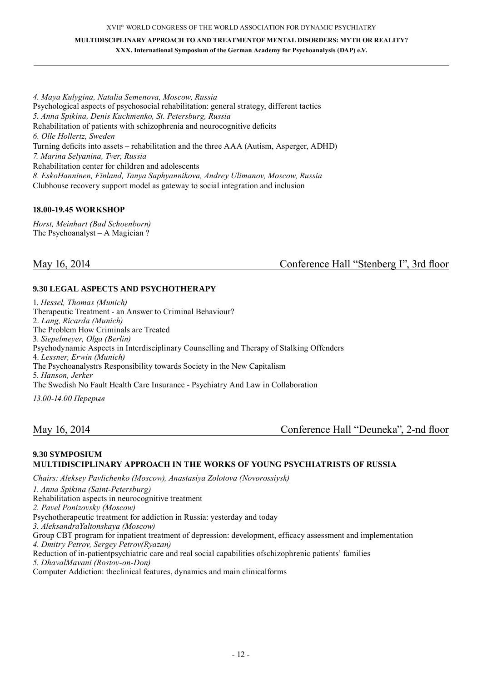**MULTIDISCIPLINARY APPROACH TO AND TREATMENTOF MENTAL DISORDERS: MYTH OR REALITY? XXX. International Symposium of the German Academy for Psychoanalysis (DAP) e.V.**

*4. Maya Kulygina, Natalia Semenova, Moscow, Russia* Psychological aspects of psychosocial rehabilitation: general strategy, different tactics *5. Anna Spikina, Denis Kuchmenko, St. Petersburg, Russia* Rehabilitation of patients with schizophrenia and neurocognitive deficits *6. Olle Hollertz, Sweden* Turning deficits into assets – rehabilitation and the three AAA (Autism, Asperger, ADHD) *7. Мarina Selyanina, Tver, Russia* Rehabilitation center for children and adolescents *8. EskoHanninen, Finland, Tanya Saphyannikova, Andrey Ulimanov, Moscow, Russia* Clubhouse recovery support model as gateway to social integration and inclusion

### **18.00-19.45 Workshop**

*Horst, Meinhart (Bad Schoenborn)* The Psychoanalyst – A Magician ?

May 16, 2014 Conference Hall "Stenberg I", 3rd floor

#### **9.30 Legal Aspects and Psychotherapy**

1. *Hessel, Thomas (Munich)* Therapeutic Treatment - an Answer to Criminal Behaviour? 2. *Lang, Ricarda (Munich)* The Problem How Criminals are Treated 3. *Siepelmeyer, Olga (Berlin)*  Psychodynamic Aspects in Interdisciplinary Counselling and Therapy of Stalking Offenders 4. *Lessner, Erwin (Munich)* The Psychoanalystrs Responsibility towards Society in the New Capitalism 5. *Hanson, Jerker*  The Swedish No Fault Health Care Insurance - Psychiatry And Law in Collaboration

*13.00-14.00 Перерыв*

May 16, 2014 Conference Hall "Deuneka", 2-nd floor

#### **9.30 Symposium Multidis ciplinary approach in the works of young psychiatrists of Russia**

*Chairs: Aleksey Pavlichenko (Moscow), Anastasiya Zolotova (Novorossiysk)*

*1. Anna Spikina (Saint-Petersburg)*

Rehabilitation aspects in neurocognitive treatment

*2. Pavel Ponizovsky (Moscow)*

Psychotherapeutic treatment for addiction in Russia: yesterday and today

*3. AleksandraYaltonskaya (Moscow)*

Group CBT program for inpatient treatment of depression: development, efficacy assessment and implementation

*4. Dmitry Petrov, Sergey Petrov(Ryazan)*

Reduction of in-patientpsychiatric care and real social capabilities ofschizophrenic patients' families

*5. DhavalMavani (Rostov-on-Don)*

Computer Addiction: theclinical features, dynamics and main clinicalforms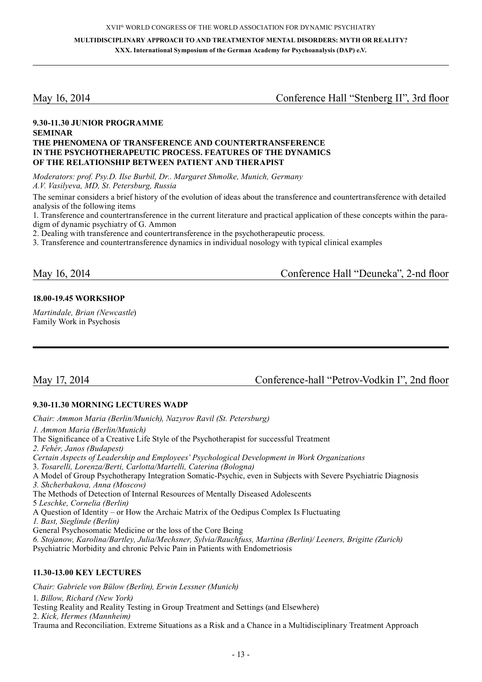**MULTIDISCIPLINARY APPROACH TO AND TREATMENT OF MENTAL DISORDERS: MYTH OR REALITY? XXX. International Symposium of the German Academy for Psychoanalysis (DAP) e.V.**

May 16, 2014 Conference Hall "Stenberg II", 3rd floor

#### **9.30-11.30 Junior Programme Seminar The phenomena of transference and countertransference in the psychotherapeutic process. Features of the dynamics of the relationship between patient and therapist**

*Moderators: prof. Psy.D. Ilse Burbil, Dr.. Margaret Shmolke, Munich, Germany A.V. Vasilyeva, MD, St. Petersburg, Russia*

The seminar considers a brief history of the evolution of ideas about the transference and countertransference with detailed analysis of the following items

1. Transference and countertransference in the current literature and practical application of these concepts within the paradigm of dynamic psychiatry of G. Ammon

2. Dealing with transference and countertransference in the psychotherapeutic process.

3. Transference and countertransference dynamics in individual nosology with typical clinical examples

May 16, 2014 Сonference Hall "Deuneka", 2-nd floor

### **18.00-19.45 Workshop**

*Martindale, Brian (Newcastle*) Family Work in Psychosis

May 17, 2014 Conference-hall "Petrov-Vodkin I", 2nd floor

### **9.30-11.30 Morning Lectures WADP**

*Chair: Ammon Maria (Berlin/Munich), Nazyrov Ravil (St. Petersburg) 1. Ammon Maria (Berlin/Munich)* The Significance of a Creative Life Style of the Psychotherapist for successful Treatment *2. Fehér, Jаnos (Budapest) Certain Aspects of Leadership and Employees' Psychological Development in Work Organizations* 3. *Tosarelli, Lorenza/Berti, Carlotta/Martelli, Caterina (Bologna)* A Model of Group Psychotherapy Integration Somatic-Psychic, even in Subjects with Severe Psychiatric Diagnosis *3. Shcherbakova, Anna (Moscow)* The Methods of Detection of Internal Resources of Mentally Diseased Adolescents 5 *Leschke, Cornelia (Berlin)* A Question of Identity – or How the Archaic Matrix of the Oedipus Complex Is Fluctuating *1. Bast, Sieglinde (Berlin)* General Psychosomatic Medicine or the loss of the Core Being *6. Stojanow, Karolina/Bartley, Julia/Mechsner, Sylvia/Rauchfuss, Martina (Berlin)/ Leeners, Brigitte (Zurich)*  Psychiatric Morbidity and chronic Pelvic Pain in Patients with Endometriosis

#### **11.30-13.00 Key Lectures**

*Chair: Gabriele von Bülow (Berlin), Erwin Lessner (Munich)* 1. *Billow, Richard (New York)* Testing Reality and Reality Testing in Group Treatment and Settings (and Elsewhere) 2. *Kick, Hermes (Mannheim)* Trauma and Reconciliation. Extreme Situations as a Risk and a Chance in a Multidisciplinary Treatment Approach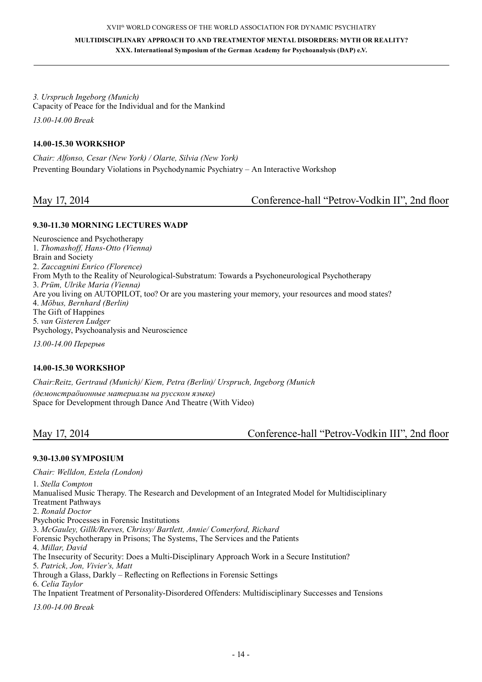*3. Urspruch Ingeborg (Munich)* Capacity of Peace for the Individual and for the Mankind *13.00-14.00 Break*

#### **14.00-15.30 Workshop**

*Chair: Alfonso, Cesar (New York) / Olarte, Silvia (New York)* Preventing Boundary Violations in Psychodynamic Psychiatry – An Interactive Workshop

May 17, 2014 Conference-hall "Petrov-Vodkin II", 2nd floor

### **9.30-11.30 Morning Lectures WADP**

Neuroscience and Psychotherapy 1. *Thomashoff, Hans-Otto (Vienna)* Brain and Society 2. *Zaccagnini Enrico (Florence)* From Myth to the Reality of Neurological-Substratum: Towards a Psychoneurological Psychotherapy 3. *Prüm, Ulrike Maria (Vienna)* Are you living on AUTOPILOT, too? Or are you mastering your memory, your resources and mood states? 4. *Möbus, Bernhard (Berlin)* The Gift of Happines 5. *van Gisteren Ludger* Psychology, Psychoanalysis and Neuroscience

*13.00-14.00 Перерыв*

#### **14.00-15.30 Workshop**

*Chair:Reitz, Gertraud (Munich)/ Kiem, Petra (Berlin)/ Urspruch, Ingeborg (Munich (демонстраöионные материалы на русском языке)* Space for Development through Dance And Theatre (With Video)

# May 17, 2014 Conference-hall "Petrov-Vodkin III", 2nd floor

#### **9.30-13.00 Symposium**

*Chair: Welldon, Estela (London)* 1. *Stella Compton* Manualised Music Therapy. The Research and Development of an Integrated Model for Multidisciplinary Treatment Pathways 2. *Ronald Doctor* Psychotic Processes in Forensic Institutions 3. *McGauley, Gillk/Reeves, Chrissy/ Bartlett, Annie/ Comerford, Richard* Forensic Psychotherapy in Prisons; The Systems, The Services and the Patients 4. *Millar, David* The Insecurity of Security: Does a Multi-Disciplinary Approach Work in a Secure Institution? 5. *Patrick, Jon, Vivier's, Matt* Through a Glass, Darkly – Reflecting on Reflections in Forensic Settings 6. *Celia Taylor* The Inpatient Treatment of Personality-Disordered Offenders: Multidisciplinary Successes and Tensions *13.00-14.00 Break*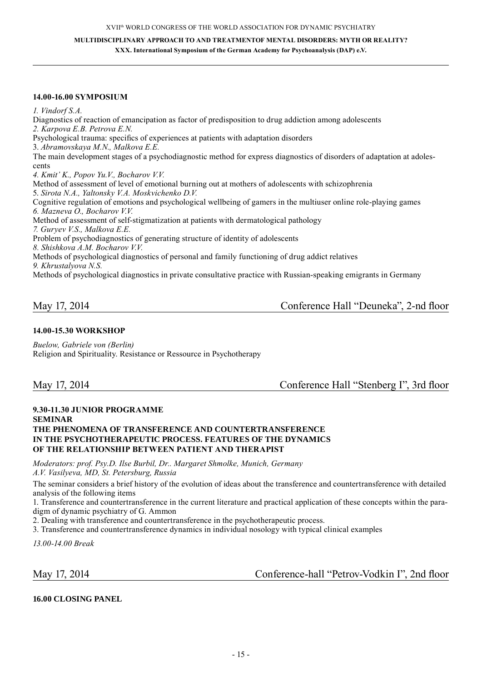**MULTIDISCIPLINARY APPROACH TO AND TREATMENTOF MENTAL DISORDERS: MYTH OR REALITY? XXX. International Symposium of the German Academy for Psychoanalysis (DAP) e.V.**

#### **14.00-16.00 Symposium**

*1. Vindorf S.A.*

Diagnostics of reaction of emancipation as factor of predisposition to drug addiction among adolescents *2. Karpova E.B. Petrova E.N.* Psychological trauma: specifics of experiences at patients with adaptation disorders 3. *Abramovskaya M.N., Malkova E.E.* The main development stages of a psychodiagnostic method for express diagnostics of disorders of adaptation at adolescents *4. Kmit' K., Popov Yu.V., Bocharov V.V.* Method of assessment of level of emotional burning out at mothers of adolescents with schizophrenia 5. *Sirota N.A., Yaltonsky V.A. Moskvichenko D.V.* Cognitive regulation of emotions and psychological wellbeing of gamers in the multiuser online role-playing games *6. Mazneva O., Bocharov V.V.* Method of assessment of self-stigmatization at patients with dermatological pathology *7. Guryev V.S., Malkova E.E.* Problem of psychodiagnostics of generating structure of identity of adolescents *8. Shishkova A.M. Bocharov V.V.*  Methods of psychological diagnostics of personal and family functioning of drug addict relatives *9. Khrustalyova N.S.*  Methods of psychological diagnostics in private consultative practice with Russian-speaking emigrants in Germany

May 17, 2014 Conference Hall "Deuneka", 2-nd floor

#### **14.00-15.30 Workshop**

*Buelow, Gabriele von (Berlin)* Religion and Spirituality. Resistance or Ressource in Psychotherapy

May 17, 2014 Conference Hall "Stenberg I", 3rd floor

#### **9.30-11.30 Junior Programme Seminar The phenomena of transference and countertransference in the psychotherapeutic process. Features of the dynamics of the relationship between patient and therapist**

*Moderators: prof. Psy.D. Ilse Burbil, Dr.. Margaret Shmolke, Munich, Germany A.V. Vasilyeva, MD, St. Petersburg, Russia*

The seminar considers a brief history of the evolution of ideas about the transference and countertransference with detailed analysis of the following items

1. Transference and countertransference in the current literature and practical application of these concepts within the paradigm of dynamic psychiatry of G. Ammon

2. Dealing with transference and countertransference in the psychotherapeutic process.

3. Transference and countertransference dynamics in individual nosology with typical clinical examples

*13.00-14.00 Break*

May 17, 2014 Conference-hall "Petrov-Vodkin I", 2nd floor

**16.00 Closing Panel**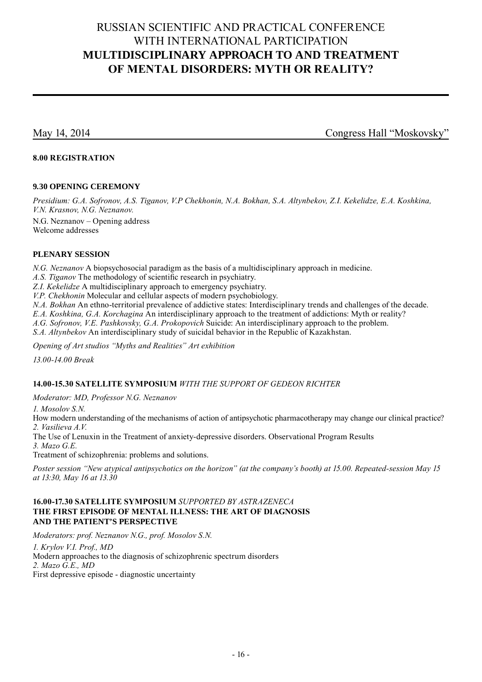# Russian scientific and practical conference with international participation **MULTIDISCIPLINARY APPROACH TO AND TREATMENT OF MENTAL DISORDERS: MYTH OR REALITY?**

May 14, 2014 Congress Hall "Moskovsky"

### **8.00 Registration**

#### **9.30 Opening ceremony**

*Presidium: G.A. Sofronov, A.S. Tiganov, V.P Chekhonin, N.A. Bokhan, S.A. Altynbekov, Z.I. Kekelidze, E.A. Koshkina, V.N. Krasnov, N.G. Neznanov.* 

N.G. Neznanov – Opening address Welcome addresses

### **Plenary Session**

*N.G. Neznanov* A biopsychosocial paradigm as the basis of a multidisciplinary approach in medicine.

*A.S. Tiganov* The methodology of scientific resеarch in psychiatry.

*Z.I. Kekelidze* A multidisciplinary approach to emergency psychiatry.

*V.P. Chekhonin* Molecular and cellular aspects of modern psychobiology.

*N.A. Bokhan* An ethno-territorial prevalence of addictive states: Interdisciplinary trends and challenges of the decade.

*E.A. Koshkina, G.A. Korchagina* An interdisciplinary approach to the treatment of addictions: Myth or reality?

*A.G. Sofronov, V.E. Pashkovsky, G.A. Prokopovich* Suicide: An interdisciplinary approach to the problem.

*S.A. Altynbekov* An interdisciplinary study of suicidal behavior in the Republic of Kazakhstan.

*Opening of Art studios "Myths and Realities" Art exhibition*

*13.00-14.00 Break*

### **14.00-15.30 Satellite symposium** *with the support of Gedeon Richter*

*Moderator: MD, Professor N.G. Neznanov*

*1. Mosolov S.N.*

How modern understanding of the mechanisms of action of antipsychotic pharmacotherapy may change our clinical practice? *2. Vasilieva A.V.*

The Use of Lenuxin in the Treatment of anxiety-depressive disorders. Observational Program Results *3. Mazo G.E.*

Treatment of schizophrenia: problems and solutions.

*Poster session "New atypical antipsychotics on the horizon" (at the company's booth) at 15.00. Repeated-session May 15 at 13:30, May 16 at 13.30*

### **16.00-17.30 Satellite symposium** *supported by AstraZeneca* **The first episode of mental illness: the art of diagnosis and the patient's perspective**

*Moderators: prof. Neznanov N.G., prof. Mosolov S.N. 1. Krylov V.I. Prof., MD* Modern approaches to the diagnosis of schizophrenic spectrum disorders *2. Mazo G.E., MD* First depressive episode - diagnostic uncertainty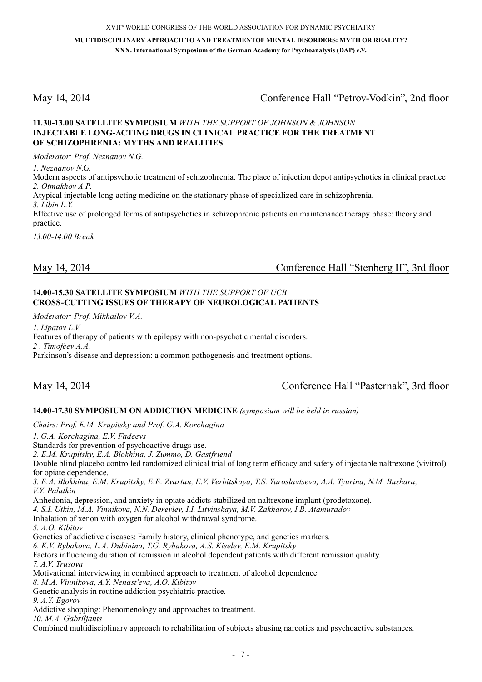# May 14, 2014 Сonference Hall "Petrov-Vodkin", 2nd floor

#### **11.30-13.00 Satellite symposium** *with the support of Johnson & Johnson* **Injectable long-acting drugs in clinical practice for the treatment of schizophrenia: Myths and Realities**

*Moderator: Prof. Neznanov N.G.*

*1. Neznanov N.G.*

Modern aspects of antipsychotic treatment of schizophrenia. The place of injection depot antipsychotics in clinical practice *2. Otmakhov A.P.*

Atypical injectable long-acting medicine on the stationary phase of specialized care in schizophrenia.

*3. Libin L.Y.*

Effective use of prolonged forms of antipsychotics in schizophrenic patients on maintenance therapy phase: theory and practice.

*13.00-14.00 Break*

May 14, 2014 Сonference Hall "Stenberg II", 3rd floor

### **14.00-15.30 Satellite Symposium** *with the support of UCB* **Cross -cutting issues of therapy of neurological patients**

*Moderator: Prof. Mikhailov V.A.*

*1. Lipatov L.V.* Features of therapy of patients with epilepsy with non-psychotic mental disorders. *2 . Timofeev A.A.* Parkinson's disease and depression: a common pathogenesis and treatment options.

# Conference Hall "Pasternak", 3rd floor

### **14.00-17.30 Symposium on Addiction Medicine** *(symposium will be held in russian)*

*Chairs: Prof. E.M. Krupitsky and Prof. G.A. Korchagina*

*1. G.A. Korchagina, E.V. Fadeevs* Standards for prevention of psychoactive drugs use.

*2. E.M. Krupitsky, E.A. Blokhina, J. Zummo, D. Gastfriend*

Double blind placebo controlled randomized clinical trial of long term efficacy and safety of injectable naltrexone (vivitrol) for opiate dependence.

*3. E.A. Blokhina, E.M. Krupitsky, E.E. Zvartau, E.V. Verbitskaya, T.S. Yaroslavtseva, A.A. Tyurina, N.M. Bushara, V.Y. Palatkin*

Anhedonia, depression, and anxiety in opiate addicts stabilized on naltrexone implant (prodetoxone).

*4. S.I. Utkin, M.A. Vinnikova, N.N. Derevlev, I.I. Litvinskaya, M.V. Zakharov, I.B. Atamuradov* 

Inhalation of xenon with oxygen for alcohol withdrawal syndrome.

*5. A.O. Kibitov*

Genetics of addictive diseases: Family history, clinical phenotype, and genetics markers.

*6. K.V. Rybakova, L.A. Dubinina, T.G. Rybakova, A.S. Kiselev, E.M. Krupitsky*

Factors influencing duration of remission in alcohol dependent patients with different remission quality. *7. A.V. Trusova*

Motivational interviewing in combined approach to treatment of alcohol dependence.

*8. M.A. Vinnikova, A.Y. Nenast'eva, A.O. Kibitov*

Genetic analysis in routine addiction psychiatric practice.

*9. A.Y. Egorov*

Addictive shopping: Phenomenology and approaches to treatment.

*10. M.A. Gabriljants*

Combined multidisciplinary approach to rehabilitation of subjects abusing narcotics and psychoactive substances.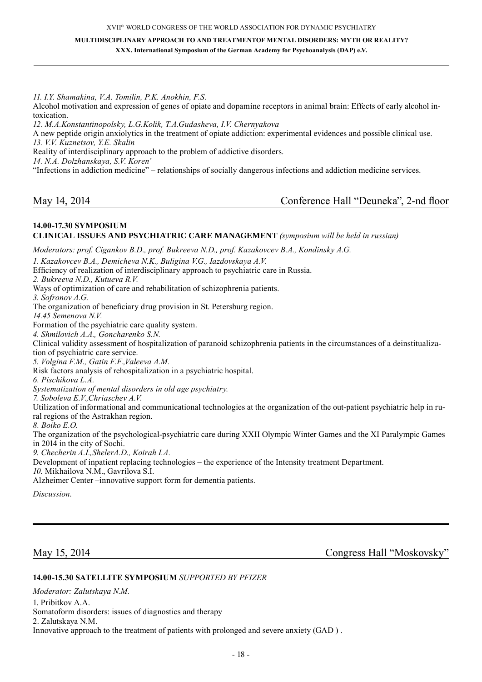**MULTIDISCIPLINARY APPROACH TO AND TREATMENTOF MENTAL DISORDERS: MYTH OR REALITY?** 

**XXX. International Symposium of the German Academy for Psychoanalysis (DAP) e.V.**

*11. I.Y. Shamakina, V.A. Tomilin, P.K. Anokhin, F.S.*

Alcohol motivation and expression of genes of opiate and dopamine receptors in animal brain: Effects of early alcohol intoxication.

*12. M.A.Konstantinopolsky, L.G.Kolik, T.A.Gudasheva, I.V. Chernyakova* А new peptide origin anxiolytics in the treatment of opiate addiction: experimental evidences and possible clinical use. *13. V.V. Kuznetsov, Y.E. Skalin* Reality of interdisciplinary approach to the problem of addictive disorders. *14. N.A. Dolzhanskaya, S.V. Koren'* "Infections in addiction medicine" – relationships of socially dangerous infections and addiction medicine services.

### May 14, 2014 Conference Hall "Deuneka", 2-nd floor

#### **14.00-17.30 Symposium Clinical issues and psychiatric care management** *(symposium will be held in russian)*

*Moderators: prof. Cigankov B.D., prof. Bukreeva N.D., prof. Kazakovcev B.А., Kondinsky A.G.*

*1. Kazakovcev B.А., Demicheva N.K., Buligina V.G., Iazdovskaya A.V.*

Efficiency of realization of interdisciplinary approach to psychiatric care in Russia.

*2. Bukreeva N.D., Kutueva R.V.*

Ways of optimization of care and rehabilitation of schizophrenia patients.

*3. Sofronov A.G.*

The organization of beneficiary drug provision in St. Petersburg region.

*14.45 Semenova N.V.*

Formation of the psychiatric care quality system.

*4. Shmilovich А.А., Goncharenko S.N.*

Clinical validity assessment of hospitalization of paranoid schizophrenia patients in the circumstances of a deinstitualization of psychiatric care service.

*5. Volgina F.M., Gatin F.F.,Valeeva A.M.* 

Risk factors analysis of rehospitalization in a psychiatric hospital.

*6. Pischikova L.A.*

*Systematization of mental disorders in old age psychiatry.*

*7. Soboleva E.V.,Chriaschev A.V.*

Utilization of informational and communicational technologies at the organization of the out-patient psychiatric help in rural regions of the Astrakhan region.

*8. Boiko E.O.*

The organization of the psychological-psychiatric care during XXII Olympic Winter Games and the XI Paralympic Games in 2014 in the city of Sochi.

*9. Checherin A.I.,ShelerA.D., Koirah I.A.*

Development of inpatient replacing technologies – the experience of the Intensity treatment Department.

*10.* Mikhailova N.M., Gavrilova S.I.

Alzheimer Center –innovative support form for dementia patients.

*Discussion.* 

May 15, 2014 Congress Hall "Moskovsky"

#### **14.00-15.30 Satellite Symposium** *supported by Pfizer*

*Moderator: Zalutskaya N.M.* 1. Pribitkov A.A. Somatoform disorders: issues of diagnostics and therapy 2. Zalutskaya N.M. Innovative approach to the treatment of patients with prolonged and severe anxiety (GAD ) .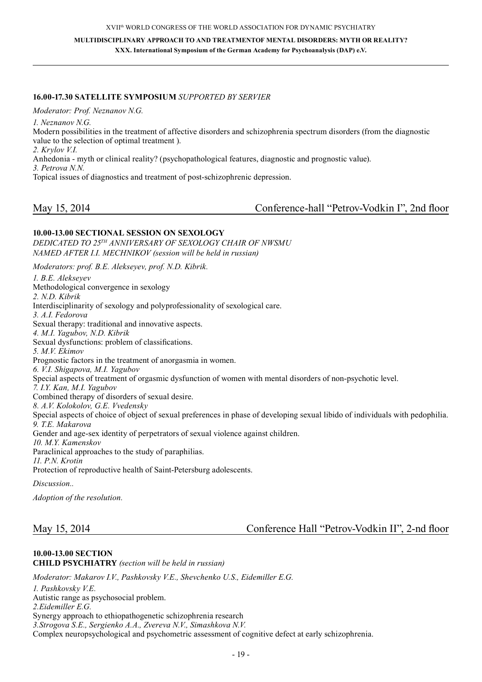XVII<sup>th</sup> WORLD CONGRESS OF THE WORLD ASSOCIATION FOR DYNAMIC PSYCHIATRY

**MULTIDISCIPLINARY APPROACH TO AND TREATMENTOF MENTAL DISORDERS: MYTH OR REALITY? XXX. International Symposium of the German Academy for Psychoanalysis (DAP) e.V.**

#### **16.00-17.30 Satellite Symposium** *supported by Servier*

*Moderator: Prof. Neznanov N.G.*

*1. Neznanov N.G.*

Modern possibilities in the treatment of affective disorders and schizophrenia spectrum disorders (from the diagnostic value to the selection of optimal treatment ).

*2. Krylov V.I.*

Anhedonia - myth or clinical reality? (psychopathological features, diagnostic and prognostic value).

*3. Petrova N.N.*

Topical issues of diagnostics and treatment of post-schizophrenic depression.

|  | May 15, 2014 |
|--|--------------|
|  |              |

Conference-hall "Petrov-Vodkin I", 2nd floor

### **10.00-13.00 Sectional session on sexology**

*Dedicated to 25th anniversary of Sexology Chair of NWSMU named after I.I. Mechnikov (session will be held in russian)*

*Moderators: prof. B.E. Alekseyev, prof. N.D. Kibrik.*

*1. B.E. Alekseyev* Methodological convergence in sexology *2. N.D. Kibrik* Interdisciplinarity of sexology and polyprofessionality of sexological care. *3. A.I. Fedorova* Sexual therapy: traditional and innovative aspects. *4. M.I. Yagubov, N.D. Kibrik* Sexual dysfunctions: problem of classifications. *5. M.V. Ekimov* Prognostic factors in the treatment of anorgasmia in women. *6. V.I. Shigapova, M.I. Yagubov* Special aspects of treatment of orgasmic dysfunction of women with mental disorders of non-psychotic level. *7. I.Y. Kan, M.I. Yagubov* Combined therapy of disorders of sexual desire. *8. A.V. Kolokolov, G.E. Vvedensky* Special aspects of choice of object of sexual preferences in phase of developing sexual libido of individuals with pedophilia. *9. T.E. Makarova* Gender and age-sex identity of perpetrators of sexual violence against children. *10. M.Y. Kamenskov* Paraclinical approaches to the study of paraphilias. *11. P.N. Krotin* Protection of reproductive health of Saint-Petersburg adolescents.

*Discussion..*

*Adoption of the resolution.*

May 15, 2014 Conference Hall "Petrov-Vodkin II", 2-nd floor

# **10.00-13.00 Section Child Psychiatry** *(section will be held in russian) Moderator: Makarov I.V., Pashkovsky V.E., Shevchenko U.S., Eidemiller E.G. 1. Pashkovsky V.E.* Autistic range as psychosocial problem.

*2.Eidemiller E.G.* Synergy approach to ethiopathogenetic schizophrenia research *3.Strogova S.E., Sergienko A.A., Zvereva N.V., Simashkova N.V.*  Complex neuropsychological and psychometric assessment of cognitive defect at early schizophrenia.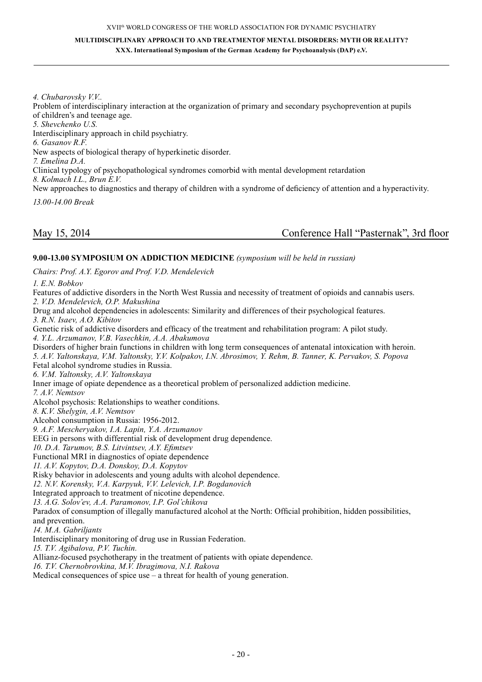#### **MULTIDISCIPLINARY APPROACH TO AND TREATMENTOF MENTAL DISORDERS: MYTH OR REALITY? XXX. International Symposium of the German Academy for Psychoanalysis (DAP) e.V.**

*4. Chubarovsky V.V..*

Problem of interdisciplinary interaction at the organization of primary and secondary psychoprevention at pupils of children's and teenage age. *5. Shevchenko U.S.* 

Interdisciplinary approach in child psychiatry.

*6. Gasanov R.F.* 

New aspects of biological therapy of hyperkinetic disorder.

*7. Emelina D.A.*

Clinical typology of psychopathological syndromes comorbid with mental development retardation

*8. Kolmach I.L., Brun E.V.*

New approaches to diagnostics and therapy of children with a syndrome of deficiency of attention and a hyperactivity.

*13.00-14.00 Break*

# May 15, 2014 Conference Hall "Pasternak", 3rd floor

### **9.00-13.00 Symposium on Addiction Medicine** *(symposium will be held in russian)*

*Chairs: Prof. A.Y. Egorov and Prof. V.D. Mendelevich*

*1. E.N. Bobkov*

Features of addictive disorders in the North West Russia and necessity of treatment of opioids and cannabis users. *2. V.D. Mendelevich, O.P. Makushina* Drug and alcohol dependencies in adolescents: Similarity and differences of their psychological features. *3. R.N. Isaev, A.O. Kibitov* Genetic risk of addictive disorders and efficacy of the treatment and rehabilitation program: A pilot study. *4. Y.L. Arzumanov, V.B. Vasechkin, A.A. Abakumova*  Disorders of higher brain functions in children with long term consequences of antenatal intoxication with heroin. *5. A.V. Yaltonskaya, V.M. Yaltonsky, Y.V. Kolpakov, I.N. Abrosimov, Y. Rehm, B. Tanner, K. Pervakov, S. Popova* Fetal alcohol syndrome studies in Russia. *6. V.M. Yaltonsky, A.V. Yaltonskaya* Inner image of opiate dependence as a theoretical problem of personalized addiction medicine. *7. A.V. Nemtsov* Alcohol psychosis: Relationships to weather conditions. *8. K.V. Shelygin, A.V. Nemtsov* Alcohol consumption in Russia: 1956-2012. *9. A.F. Mescheryakov, I.A. Lapin, Y.A. Arzumanov* EEG in persons with differential risk of development drug dependence. *10. D.A. Tarumov, B.S. Litvintsev, A.Y. Efimtsev* Functional MRI in diagnostics of opiate dependence *11. A.V. Kopytov, D.A. Donskoy, D.A. Kopytov* Risky behavior in adolescents and young adults with alcohol dependence. *12. N.V. Korensky, V.A. Karpyuk, V.V. Lelevich, I.P. Bogdanovich* Integrated approach to treatment of nicotine dependence. *13. A.G. Solov'ev, A.A. Paramonov, I.P. Gol'chikova* Paradox of consumption of illegally manufactured alcohol at the North: Official prohibition, hidden possibilities, and prevention. *14. M.A. Gabriljants* Interdisciplinary monitoring of drug use in Russian Federation. *15. T.V. Agibalova, P.V. Tuchin.* Allianz-focused psychotherapy in the treatment of patients with opiate dependence. *16. T.V. Chernobrovkina, M.V. Ibragimova, N.I. Rakova* Medical consequences of spice use – a threat for health of young generation.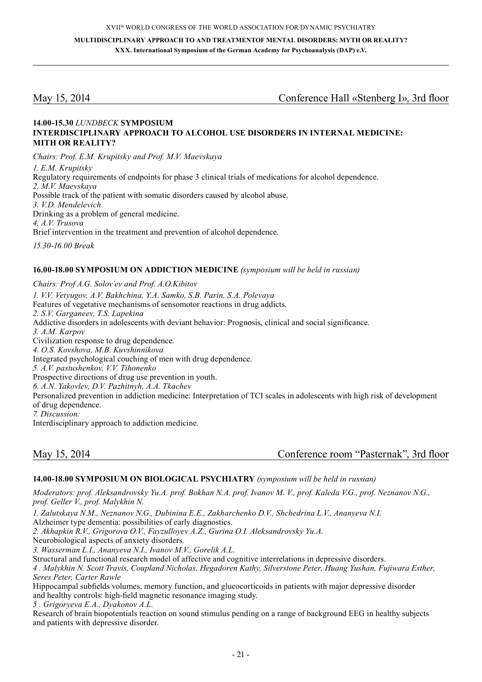May 15, 2014 Сonference Hall «Stenberg I», 3rd floor

#### **14.00-15.30** *Lundbeck* **symposium Interdis ciplinary approach to alcohol use disorders in internal medicine: Mith or reality?**

*Chairs: Prof. E.M. Krupitsky and Prof. M.V. Maevskaya*

*1. E.M. Krupitsky* Regulatory requirements of endpoints for phase 3 clinical trials of medications for alcohol dependence. *2. M.V. Maevskaya* Possible track of the patient with somatic disorders caused by alcohol abuse. *3. V.D. Mendelevich* Drinking as a problem of general medicine. *4. A.V. Trusova* Brief intervention in the treatment and prevention of alcohol dependence.

*15.30-16.00 Break*

#### **16.00-18.00 Symposium on Addiction Medicine** *(symposium will be held in russian)*

*Chairs: Prof A.G. Solov'ev and Prof. A.O.Kibitov 1. V.V. Vetyugov, A.V. Bakhchina, Y.A. Samko, S.B. Parin, S.A. Polevaya* Features of vegetative mechanisms of sensomotor reactions in drug addicts. *2. S.V. Garganeev, T.S. Lapekina* Addictive disorders in adolescents with deviant behavior: Prognosis, clinical and social significance. *3. A.M. Karpov* Civilization response to drug dependence. *4. O.S. Kovshova, M.B. Kuvshinnikova* Integrated psychological couching of men with drug dependence. *5. A.V. pastushenkov, V.V. Tihonenko* Prospective directions of drug use prevention in youth. *6. A.N. Yakovlev, D.V. Pazhitnyh, A.A. Tkachev* Personalized prevention in addiction medicine: Interpretation of TCI scales in adolescents with high risk of development of drug dependence. *7. Discussion:* Interdisciplinary approach to addiction medicine.

May 15, 2014 Conference room "Pasternak", 3rd floor

#### **14.00-18.00 Symposium on Biological psychiatry** *(symposium will be held in russian)*

*Moderators: prof. Aleksandrovsky Yu.A. prof. Bokhan N.A. prof. Ivanov M. V., prof. Kaleda V.G., prof. Neznanov N.G., prof. Geller V., prof. Malykhin N.*

*1. Zalutskaya N.M., Neznanov N.G., Dubinina E.E., Zakharchenko D.V., Shchedrina L.V., Ananyeva N.I.* 

Alzheimer type dementia: possibilities of early diagnostics.

*2. Akhapkin R.V., Grigorova O.V., Fayzulloyev A.Z., Gurina O.I. Aleksandrovsky Yu.A.*

Neurobiological aspects of anxiety disorders.

*3. Wasserman L.I., Ananyeva N.I., Ivanov M.V., Gorelik A.L.*

Structural and functional research model of affective and cognitive interrelations in depressive disorders.

*4 . Malykhin N. Scott Travis, Coupland Nicholas, Hegadoren Kathy, Silverstone Peter, Huang Yushan, Fujiwara Esther, Seres Peter, Carter Rawle*

Hippocampal subfields volumes, memory function, and glucocorticoids in patients with major depressive disorder and healthy controls: high-field magnetic resonance imaging study.

*5 . Grigoryeva E.A., Dyakonov A.L.* 

Research of brain biopotentials reaction on sound stimulus pending on a range of background EEG in healthy subjects and patients with depressive disorder.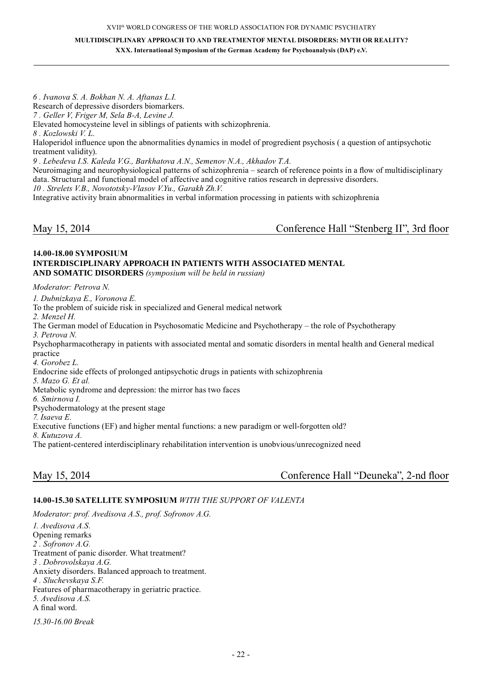**MULTIDISCIPLINARY APPROACH TO AND TREATMENTOF MENTAL DISORDERS: MYTH OR REALITY? XXX. International Symposium of the German Academy for Psychoanalysis (DAP) e.V.**

*6 . Ivanova S. A. Bokhan N. A. Aftanas L.I.* Research of depressive disorders biomarkers. *7 . Geller V, Friger M, Sela B-A, Levine J.* Elevated homocysteine level in siblings of patients with schizophrenia. *8 . Kozlowski V. L.* Haloperidol influence upon the abnormalities dynamics in model of progredient psychosis ( a question of antipsychotic treatment validity). *9 . Lebedeva I.S. Kaleda V.G., Barkhatova A.N., Semenov N.A., Akhadov T.A.*

Neuroimaging and neurophysiological patterns of schizophrenia – search of reference points in a flow of multidisciplinary data. Structural and functional model of affective and cognitive ratios research in depressive disorders.

*10 . Strelets V.B., Novototsky-Vlasov V.Yu., Garakh Zh.V.*

Integrative activity brain abnormalities in verbal information processing in patients with schizophrenia

May 15, 2014 Conference Hall "Stenberg II", 3rd floor

#### **14.00-18.00 Symposium Interdisciplinary approach in patients with associated mental and somatic disorders** *(symposium will be held in russian)*

*Moderator: Petrova N.*

*1. Dubnizkaya E., Voronova E.* To the problem of suicide risk in specialized and General medical network *2. Menzel H.* The German model of Education in Psychosomatic Medicine and Psychotherapy – the role of Psychotherapy *3. Petrova N.* Psychopharmacotherapy in patients with associated mental and somatic disorders in mental health and General medical practice *4. Gorobez L.* Endocrine side effects of prolonged antipsychotic drugs in patients with schizophrenia *5. Mazo G. Et al.* Metabolic syndrome and depression: the mirror has two faces *6. Smirnova I.* Psychodermatology at the present stage *7. Isaeva E.* Executive functions (EF) and higher mental functions: a new paradigm or well-forgotten old? *8. Kutuzova A.*

The patient-centered interdisciplinary rehabilitation intervention is unobvious/unrecognized need

May 15, 2014 Conference Hall "Deuneka", 2-nd floor

#### **14.00-15.30 Satellite Symposium** *with the support of Valenta*

*Moderator: prof. Avedisova A.S., prof. Sofronov A.G. 1. Avedisova A.S.* Opening remarks *2 . Sofronov A.G.* Treatment of panic disorder. What treatment? *3 . Dobrovolskaya A.G.* Anxiety disorders. Balanced approach to treatment. *4 . Sluchevskaya S.F.* Features of pharmacotherapy in geriatric practice. *5. Avedisova A.S.* A final word. *15.30-16.00 Break*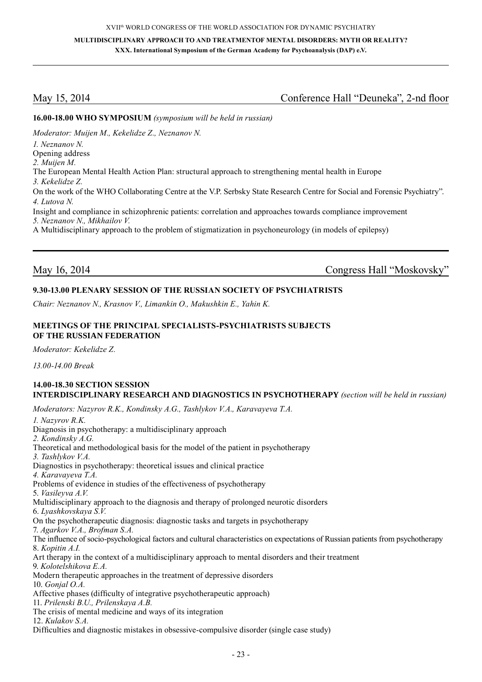# May 15, 2014 Conference Hall "Deuneka", 2-nd floor

#### **16.00-18.00 WHO Symposium** *(symposium will be held in russian)*

*Moderator: Muijen M., Kekelidze Z., Neznanov N. 1. Neznanov N.* Opening address *2. Muijen M.* The European Mental Health Action Plan: structural approach to strengthening mental health in Europe *3. Kekelidze Z.* On the work of the WHO Collaborating Centre at the V.P. Serbsky State Research Centre for Social and Forensic Psychiatry". *4. Lutova N.* Insight and compliance in schizophrenic patients: correlation and approaches towards compliance improvement *5. Neznanov N., Mikhailov V.*  A Multidisciplinary approach to the problem of stigmatization in psychoneurology (in models of epilepsy)

May 16, 2014 Congress Hall "Moskovsky"

# **9.30-13.00 Plenary Session Of The Russian Society Of Psychiatrists**

*Chair: Neznanov N., Krasnov V., Limankin O., Makushkin E., Yahin K.*

#### **Meetings Of The Principal Specialists-Psychiatrists Subjects Of The Russian Federation**

*Moderator: Kekelidze Z.*

*13.00-14.00 Break*

#### **14.00-18.30 Section session Interdisciplinary research and diagnostics in psychotherapy** *(section will be held in russian)*

*Moderators: Nazyrov R.K., Kondinsky A.G., Tashlykov V.A., Karavayeva T.A.*

*1. Nazyrov R.K.* Diagnosis in psychotherapy: a multidisciplinary approach *2. Kondinsky A.G.*  Theoretical and methodological basis for the model of the patient in psychotherapy *3. Tashlykov V.A.* Diagnostics in psychotherapy: theoretical issues and clinical practice *4. Karavayeva T.A.* Problems of evidence in studies of the effectiveness of psychotherapy 5. *Vasileyva A.V.* Multidisciplinary approach to the diagnosis and therapy of prolonged neurotic disorders 6. *Lyashkovskaya S.V.* On the psychotherapeutic diagnosis: diagnostic tasks and targets in psychotherapy 7. *Agarkov V.A., Brofman S.A.* The influence of socio-psychological factors and cultural characteristics on expectations of Russian patients from psychotherapy 8. *Kopitin A.I.* Art therapy in the context of a multidisciplinary approach to mental disorders and their treatment 9. *Kolotelshikova E.A.* Modern therapeutic approaches in the treatment of depressive disorders 10. *Gonjal O.A.* Affective phases (difficulty of integrative psychotherapeutic approach) 11. *Prilenski B.U., Prilenskaya A.B.* The crisis of mental medicine and ways of its integration 12. *Kulakov S.A.* Difficulties and diagnostic mistakes in obsessive-compulsive disorder (single case study)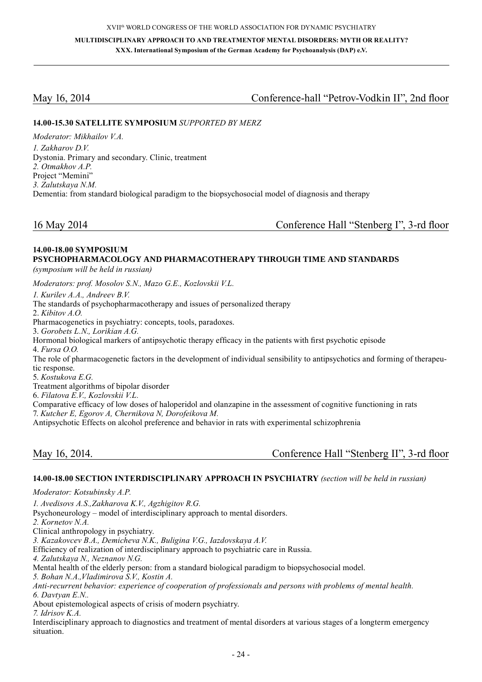# May 16, 2014 Conference-hall "Petrov-Vodkin II", 2nd floor

#### **14.00-15.30 Satellite Symposium** *supported by Merz*

*Moderator: Mikhailov V.A. 1. Zakharov D.V.*  Dystonia. Primary and secondary. Clinic, treatment *2. Otmakhov A.P.*  Project "Memini" *3. Zalutskaya N.M.*  Dementia: from standard biological paradigm to the biopsychosocial model of diagnosis and therapy

16 May 2014 Сonference Hall "Stenberg I", 3-rd floor

#### **14.00-18.00 Symposium Psychopharmacology and pharmacotherapy through time and standards**

*(symposium will be held in russian)*

*Moderators: prof. Mosolov S.N., Mazo G.E., Kozlovskii V.L.*

*1. Kurilev A.A., Andreev B.V.*

The standards of psychopharmacotherapy and issues of personalized therapy

2. *Kibitov A.O.* 

Pharmacogenetics in psychiatry: concepts, tools, paradoxes.

3. *Gorobets L.N., Lorikian A.G.*

Hormonal biological markers of antipsychotic therapy efficacy in the patients with first psychotic episode

4. *Fursa O.O.* 

The role of pharmacogenetic factors in the development of individual sensibility to antipsychotics and forming of therapeutic response.

5. *Kostukova E.G.* 

Treatment algorithms of bipolar disorder

6. *Filatova E.V., Kozlovskii V.L.* 

Comparative efficacy of low doses of haloperidol and olanzapine in the assessment of cognitive functioning in rats

7. *Kutcher E, Egorov A, Chernikova N, Dorofeikova M.*

Antipsychotic Effects on alcohol preference and behavior in rats with experimental schizophrenia

| May 16, 2014. |
|---------------|
|---------------|

# Conference Hall "Stenberg II", 3-rd floor

#### **14.00-18.00 Section Interdisciplinary approach in psychiatry** *(section will be held in russian)*

*Moderator: Kotsubinsky A.P.*

*1. Avedisovs A.S.,Zakharova K.V., Agzhigitov R.G.*

Psychoneurology – model of interdisciplinary approach to mental disorders.

*2. Kornetov N.A.* 

Clinical anthropology in psychiatry.

*3. Kazakovcev B.А., Demicheva N.K., Buligina V.G., Iazdovskaya A.V.*

Efficiency of realization of interdisciplinary approach to psychiatric care in Russia.

*4. Zalutskaya N., Neznanov N.G.*

Mental health of the elderly person: from a standard biological paradigm to biopsychosocial model.

*5. Bohan N.A.,Vladimirova S.V., Kostin A.*

*Anti-recurrent behavior: experience of cooperation of professionals and persons with problems of mental health. 6. Davtyan E.N..*

About epistemological aspects of crisis of modern psychiatry. *7. Idrisov K.A.*

Interdisciplinary approach to diagnostics and treatment of mental disorders at various stages of a longterm emergency situation.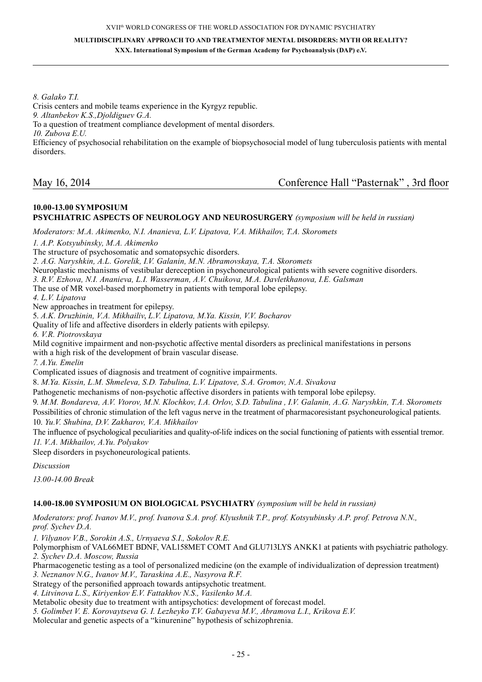*8. Galako T.I.*

Crisis centers and mobile teams experience in the Kyrgyz republic. *9. Altanbekov K.S.,Djoldiguev G.A.* To a question of treatment compliance development of mental disorders. *10. Zubova E.U.* Efficiency of psychosocial rehabilitation on the example of biopsychosocial model of lung tuberculosis patients with mental disorders.

### **10.00-13.00 Symposium Psychiatric aspects of neurology and neurosurgery** *(symposium will be held in russian)*

*Moderators: M.A. Akimenko, N.I. Ananieva, L.V. Lipatova, V.A. Mikhailov, T.A. Skoromets* 

*1. A.P. Kotsyubinsky, M.A. Akimenko*

The structure of psychosomatic and somatopsychic disorders.

*2. A.G. Naryshkin, A.L. Gorelik, I.V. Galanin, M.N. Abramovskaya, T.A. Skoromets* 

Neuroplastic mechanisms of vestibular dereception in psychoneurological patients with severe cognitive disorders.

*3. R.V. Ezhova, N.I. Ananieva, L.I. Wasserman, A.V. Chuikova, M.A. Davletkhanova, I.E. Galsman*

The use of MR voxel-based morphometry in patients with temporal lobe epilepsy.

*4. L.V. Lipatova*

New approaches in treatment for epilepsy.

5. *A.K. Druzhinin, V.A. Mikhailiv*, *L.V. Lipatova, M.Ya. Kissin, V.V. Bocharov* 

Quality of life and affective disorders in elderly patients with epilepsy.

*6. V.R. Piotrovskaya*

Mild cognitive impairment and non-psychotic affective mental disorders as preclinical manifestations in persons with a high risk of the development of brain vascular disease.

*7. A.Yu. Emelin* 

Complicated issues of diagnosis and treatment of cognitive impairments.

8. *M.Ya. Kissin, L.M. Shmeleva, S.D. Tabulina, L.V. Lipatove, S.A. Gromov, N.A. Sivakova* 

Pathogenetic mechanisms of non-psychotic affective disorders in patients with temporal lobe epilepsy.

9. *M.M. Bondareva, A.V. Vtorov, M.N. Klochkov, I.A. Orlov, S.D. Tabulina , I.V. Galanin, A..G. Naryshkin, T.A. Skoromets*  Possibilities of chronic stimulation of the left vagus nerve in the treatment of pharmacoresistant psychoneurological patients. 10. *Yu.V. Shubina, D.V. Zakharov, V.A. Mikhailov* 

The influence of psychological peculiarities and quality-of-life indices on the social functioning of patients with essential tremor. *11. V.A. Mikhailov, A.Yu. Polyakov* 

Sleep disorders in psychoneurological patients.

*Discussion* 

*13.00-14.00 Break*

#### **14.00-18.00 Symposium on Biological psychiatry** *(symposium will be held in russian)*

*Moderators: prof. Ivanov M.V., prof. Ivanova S.A. prof. Klyushnik T.P., prof. Kotsyubinsky A.P. prof. Petrova N.N., prof. Sychev D.A.*

*1. Vilyanov V.B., Sorokin A.S., Urnyaeva S.I., Sokolov R.E.*

Polymorphism of VAL66MET BDNF, VAL158MET COMT And GLU713LYS ANKK1 at patients with psychiatric pathology. *2. Sychev D.A. Moscow, Russia*

Pharmacogenetic testing as a tool of personalized medicine (on the example of individualization of depression treatment)

*3. Neznanov N.G., Ivanov M.V., Taraskina A.E., Nasyrova R.F.*

Strategy of the personified approach towards antipsychotic treatment.

*4. Litvinova L.S., Kiriyenkov E.V. Fattakhov N.S., Vasilenko M.A.*

Metabolic obesity due to treatment with antipsychotics: development of forecast model.

*5. Golimbet V. E. Korovaytseva G. I. Lezheyko T.V. Gabayeva M.V., Abramova L.I., Krikova E.V.*

Molecular and genetic aspects of a "kinurenine" hypothesis of schizophrenia.